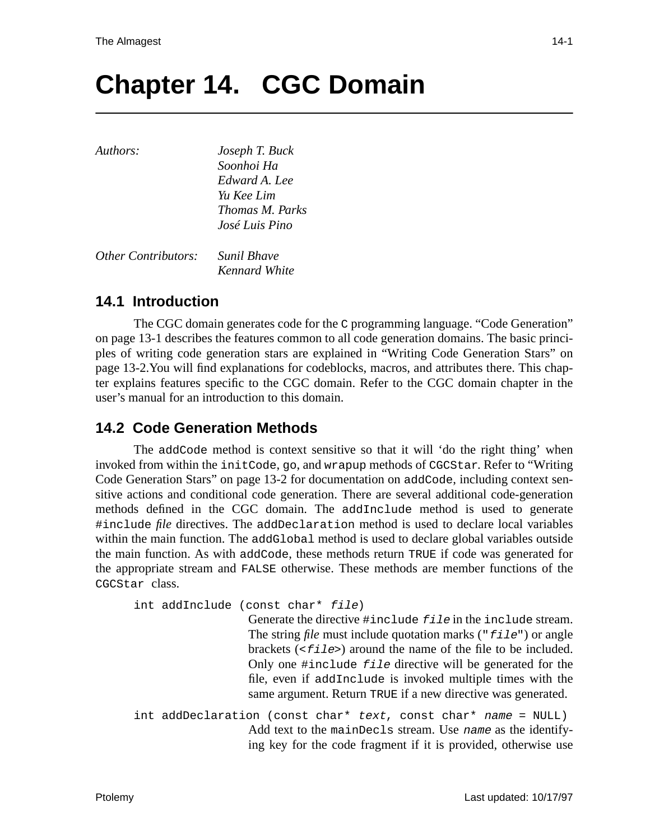# **Chapter 14. CGC Domain**

*Kennard White*

| Authors:                   | Joseph T. Buck         |
|----------------------------|------------------------|
|                            | Soonhoi Ha             |
|                            | Edward A. Lee          |
|                            | Yu Kee Lim             |
|                            | <i>Thomas M. Parks</i> |
|                            | José Luis Pino         |
|                            |                        |
| <b>Other Contributors:</b> | Sunil Bhave            |

## **14.1 Introduction**

The CGC domain generates code for the C programming language. "Code Generation" on page 13-1 describes the features common to all code generation domains. The basic principles of writing code generation stars are explained in "Writing Code Generation Stars" on page 13-2.You will find explanations for codeblocks, macros, and attributes there. This chapter explains features specific to the CGC domain. Refer to the CGC domain chapter in the user's manual for an introduction to this domain.

## **14.2 Code Generation Methods**

The addCode method is context sensitive so that it will 'do the right thing' when invoked from within the initCode, go, and wrapup methods of CGCStar. Refer to "Writing Code Generation Stars" on page 13-2 for documentation on addCode, including context sensitive actions and conditional code generation. There are several additional code-generation methods defined in the CGC domain. The addInclude method is used to generate #include *file* directives. The addDeclaration method is used to declare local variables within the main function. The addGlobal method is used to declare global variables outside the main function. As with addCode, these methods return TRUE if code was generated for the appropriate stream and FALSE otherwise. These methods are member functions of the CGCStar class.

```
int addInclude (const char* file)
```
Generate the directive #include file in the include stream. The string *file* must include quotation marks ("*file*") or angle brackets  $(\leq$  files) around the name of the file to be included. Only one #include file directive will be generated for the file, even if addInclude is invoked multiple times with the same argument. Return TRUE if a new directive was generated.

int addDeclaration (const char\* text, const char\* name = NULL) Add text to the mainDecls stream. Use name as the identifying key for the code fragment if it is provided, otherwise use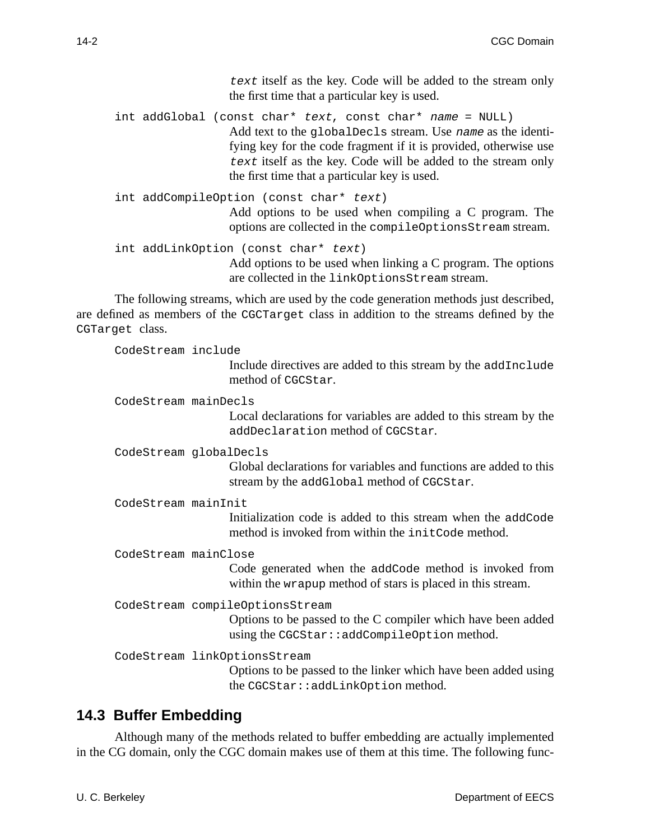text itself as the key. Code will be added to the stream only the first time that a particular key is used.

int addGlobal (const char\* text, const char\* name = NULL) Add text to the globalDecls stream. Use name as the identifying key for the code fragment if it is provided, otherwise use text itself as the key. Code will be added to the stream only the first time that a particular key is used.

```
int addCompileOption (const char* text)
                  Add options to be used when compiling a C program. The
                  options are collected in the compileOptionsStream stream.
int addLinkOption (const char* text)
```
Add options to be used when linking a C program. The options are collected in the linkOptionsStream stream.

The following streams, which are used by the code generation methods just described, are defined as members of the CGCTarget class in addition to the streams defined by the CGTarget class.

CodeStream include

Include directives are added to this stream by the addInclude method of CGCStar.

CodeStream mainDecls

Local declarations for variables are added to this stream by the addDeclaration method of CGCStar.

CodeStream globalDecls

Global declarations for variables and functions are added to this stream by the addGlobal method of CGCStar.

CodeStream mainInit

Initialization code is added to this stream when the addCode method is invoked from within the initCode method.

CodeStream mainClose

Code generated when the addCode method is invoked from within the wrapup method of stars is placed in this stream.

CodeStream compileOptionsStream

Options to be passed to the C compiler which have been added using the CGCStar::addCompileOption method.

CodeStream linkOptionsStream

Options to be passed to the linker which have been added using the CGCStar::addLinkOption method.

## **14.3 Buffer Embedding**

Although many of the methods related to buffer embedding are actually implemented in the CG domain, only the CGC domain makes use of them at this time. The following func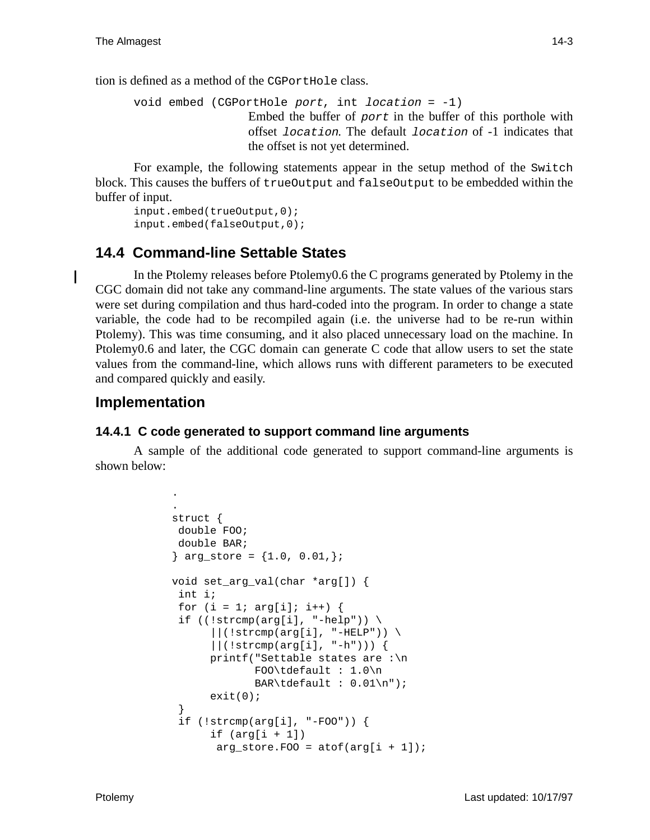I

tion is defined as a method of the CGPortHole class.

```
void embed (CGPortHole port, int location = -1)
                    Embed the buffer of port in the buffer of this porthole with
                    offset location. The default location of -1 indicates that
                    the offset is not yet determined.
```
For example, the following statements appear in the setup method of the Switch block. This causes the buffers of trueOutput and falseOutput to be embedded within the buffer of input.

input.embed(trueOutput,0); input.embed(falseOutput,0);

## **14.4 Command-line Settable States**

In the Ptolemy releases before Ptolemy0.6 the C programs generated by Ptolemy in the CGC domain did not take any command-line arguments. The state values of the various stars were set during compilation and thus hard-coded into the program. In order to change a state variable, the code had to be recompiled again (i.e. the universe had to be re-run within Ptolemy). This was time consuming, and it also placed unnecessary load on the machine. In Ptolemy0.6 and later, the CGC domain can generate C code that allow users to set the state values from the command-line, which allows runs with different parameters to be executed and compared quickly and easily.

### **Implementation**

.

#### **14.4.1 C code generated to support command line arguments**

A sample of the additional code generated to support command-line arguments is shown below:

```
.
struct {
 double FOO;
 double BAR;
\} arg_store = \{1.0, 0.01, \};
void set_arg_val(char *arg[]) {
  int i;
 for (i = 1; arg[i]; i++) {
 if ((!strong(ai], "-help")) \setminus\vert\vert (!strcmp(arg[i], "-HELP")) \
      ||(!strcmp(arg[i], "-h"))) {
      printf("Settable states are :\n
              FOO\tdefault : 1.0\n
             BAR\tdefault : 0.01\n"exit(0); }
  if (!strcmp(arg[i], "-FOO")) {
      if (\arg[i + 1])arg_store.F00 = atof(arg[i + 1]);
```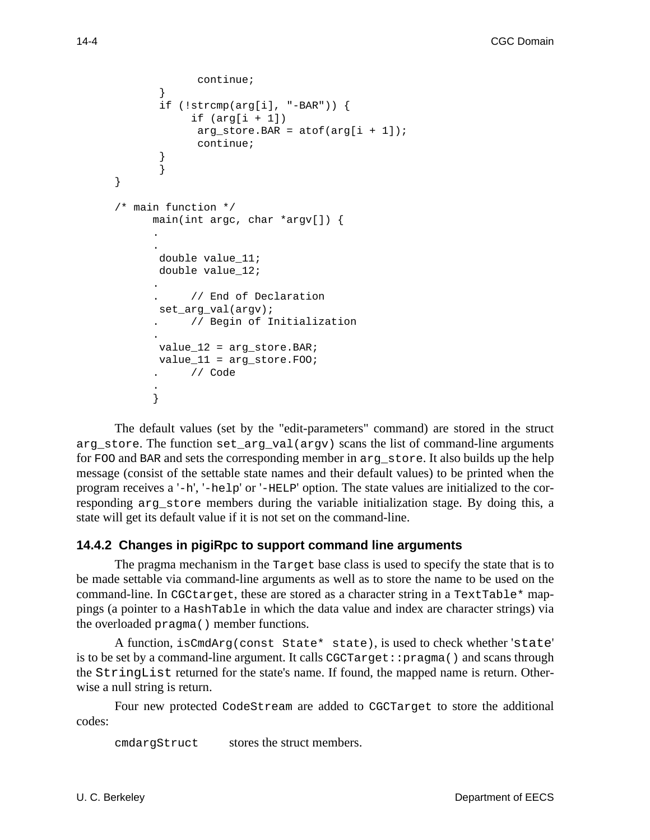```
 continue;
        }
        if (!strcmp(arg[i], "-BAR")) {
            if (\arg[i + 1])arg store. BAR = atof(arg[i + 1]);
               continue;
        }
        }
}
/* main function */
      main(int argc, char *argv[]) {
      .
      .
       double value_11;
        double value_12;
      .
            // End of Declaration
        set_arg_val(argv);
           . // Begin of Initialization
      .
       value 12 = arg store. BAR;
       value 11 = arg store. FOO;
           . // Code
```
The default values (set by the "edit-parameters" command) are stored in the struct arg\_store. The function set\_arg\_val(argv) scans the list of command-line arguments for FOO and BAR and sets the corresponding member in arg\_store. It also builds up the help message (consist of the settable state names and their default values) to be printed when the program receives a '-h', '-help' or '-HELP' option. The state values are initialized to the corresponding arg store members during the variable initialization stage. By doing this, a state will get its default value if it is not set on the command-line.

#### **14.4.2 Changes in pigiRpc to support command line arguments**

The pragma mechanism in the Target base class is used to specify the state that is to be made settable via command-line arguments as well as to store the name to be used on the command-line. In CGCtarget, these are stored as a character string in a TextTable\* mappings (a pointer to a HashTable in which the data value and index are character strings) via the overloaded pragma() member functions.

A function, isCmdArg(const State\* state), is used to check whether 'state' is to be set by a command-line argument. It calls CGCTarget::pragma() and scans through the StringList returned for the state's name. If found, the mapped name is return. Otherwise a null string is return.

Four new protected CodeStream are added to CGCTarget to store the additional codes:

cmdargStruct stores the struct members.

. }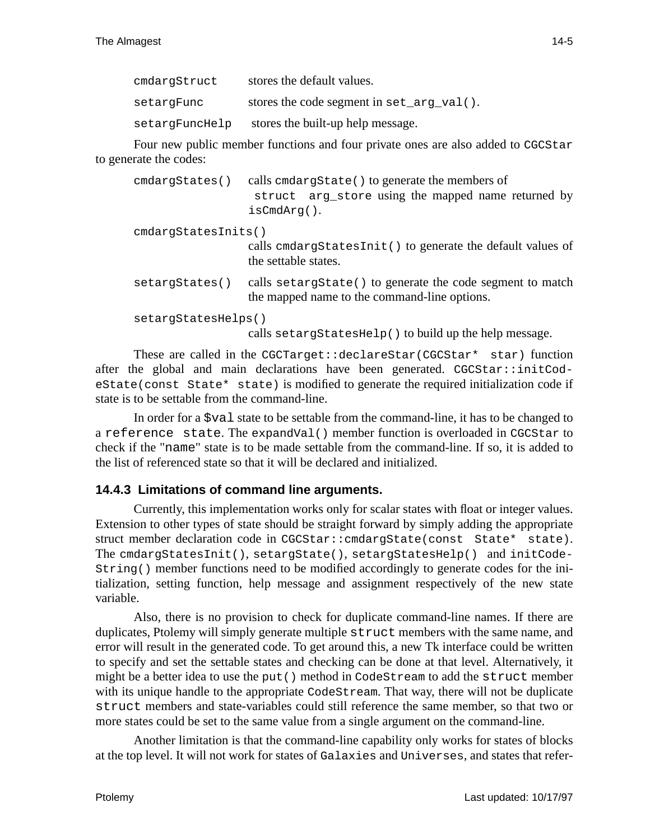| cmdargStruct   | stores the default values.                    |
|----------------|-----------------------------------------------|
| setargFunc     | stores the code segment in $set_{arg_val($ ). |
| setargFuncHelp | stores the built-up help message.             |

Four new public member functions and four private ones are also added to CGCStar to generate the codes:

| cmdargStates()      | calls cmdargState() to generate the members of<br>struct arg_store using the mapped name returned by<br>$is$ Cmd $Arg()$ . |
|---------------------|----------------------------------------------------------------------------------------------------------------------------|
| cmdargstatesInits() | calls emdargStatesInit() to generate the default values of                                                                 |
|                     | the settable states.                                                                                                       |
| setargStates()      | calls setargState() to generate the code segment to match<br>the mapped name to the command-line options.                  |
| setargStatesHelps() | calls setargStatesHelp() to build up the help message.                                                                     |

These are called in the CGCTarget::declareStar(CGCStar\* star) function after the global and main declarations have been generated. CGCStar::initCodeState(const State\* state) is modified to generate the required initialization code if state is to be settable from the command-line.

In order for a \$val state to be settable from the command-line, it has to be changed to a reference state. The expandVal() member function is overloaded in CGCStar to check if the "name" state is to be made settable from the command-line. If so, it is added to the list of referenced state so that it will be declared and initialized.

#### **14.4.3 Limitations of command line arguments.**

Currently, this implementation works only for scalar states with float or integer values. Extension to other types of state should be straight forward by simply adding the appropriate struct member declaration code in CGCStar::cmdargState(const State\* state). The cmdargStatesInit(), setargState(), setargStatesHelp() and initCode-String() member functions need to be modified accordingly to generate codes for the initialization, setting function, help message and assignment respectively of the new state variable.

Also, there is no provision to check for duplicate command-line names. If there are duplicates, Ptolemy will simply generate multiple struct members with the same name, and error will result in the generated code. To get around this, a new Tk interface could be written to specify and set the settable states and checking can be done at that level. Alternatively, it might be a better idea to use the put() method in CodeStream to add the struct member with its unique handle to the appropriate CodeStream. That way, there will not be duplicate struct members and state-variables could still reference the same member, so that two or more states could be set to the same value from a single argument on the command-line.

Another limitation is that the command-line capability only works for states of blocks at the top level. It will not work for states of Galaxies and Universes, and states that refer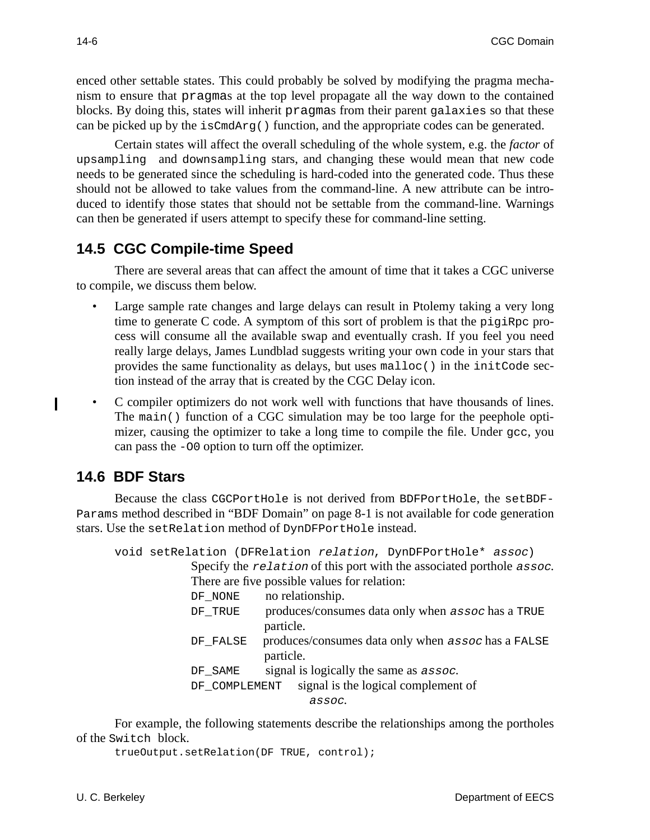enced other settable states. This could probably be solved by modifying the pragma mechanism to ensure that pragmas at the top level propagate all the way down to the contained blocks. By doing this, states will inherit pragmas from their parent galaxies so that these can be picked up by the isCmdArg() function, and the appropriate codes can be generated.

Certain states will affect the overall scheduling of the whole system, e.g. the *factor* of upsampling and downsampling stars, and changing these would mean that new code needs to be generated since the scheduling is hard-coded into the generated code. Thus these should not be allowed to take values from the command-line. A new attribute can be introduced to identify those states that should not be settable from the command-line. Warnings can then be generated if users attempt to specify these for command-line setting.

## **14.5 CGC Compile-time Speed**

There are several areas that can affect the amount of time that it takes a CGC universe to compile, we discuss them below.

- Large sample rate changes and large delays can result in Ptolemy taking a very long time to generate C code. A symptom of this sort of problem is that the pigiRpc process will consume all the available swap and eventually crash. If you feel you need really large delays, James Lundblad suggests writing your own code in your stars that provides the same functionality as delays, but uses malloc() in the initCode section instead of the array that is created by the CGC Delay icon.
- C compiler optimizers do not work well with functions that have thousands of lines. The main() function of a CGC simulation may be too large for the peephole optimizer, causing the optimizer to take a long time to compile the file. Under  $qcc$ , you can pass the -O0 option to turn off the optimizer.

## **14.6 BDF Stars**

I

Because the class CGCPortHole is not derived from BDFPortHole, the setBDF-Params method described in "BDF Domain" on page 8-1 is not available for code generation stars. Use the setRelation method of DynDFPortHole instead.

void setRelation (DFRelation relation, DynDFPortHole\* assoc) Specify the relation of this port with the associated porthole assoc. There are five possible values for relation: DF NONE no relationship. DF\_TRUE produces/consumes data only when assoc has a TRUE particle. DF\_FALSE produces/consumes data only when assoc has a FALSE particle.  $DF\_SAME$  signal is logically the same as  $assoc.$ DF\_COMPLEMENT signal is the logical complement of assoc.

For example, the following statements describe the relationships among the portholes of the Switch block.

```
trueOutput.setRelation(DF TRUE, control);
```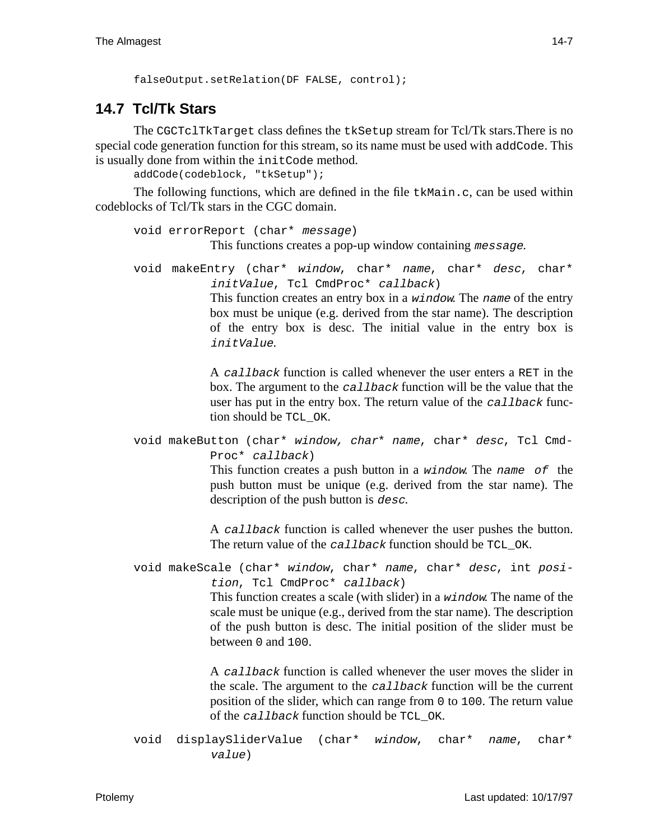```
falseOutput.setRelation(DF FALSE, control);
```
# **14.7 Tcl/Tk Stars**

The CGCTclTkTarget class defines the tkSetup stream for Tcl/Tk stars.There is no special code generation function for this stream, so its name must be used with addCode. This is usually done from within the initCode method.

addCode(codeblock, "tkSetup");

The following functions, which are defined in the file  $t \kappa \text{Main.c}$ , can be used within codeblocks of Tcl/Tk stars in the CGC domain.

```
void errorReport (char* message)
            This functions creates a pop-up window containing message.
```

```
void makeEntry (char* window, char* name, char* desc, char*
             initValue, Tcl CmdProc* callback)
             This function creates an entry box in a window. The name of the entry
             box must be unique (e.g. derived from the star name). The description
             of the entry box is desc. The initial value in the entry box is
             initValue.
```
A callback function is called whenever the user enters a RET in the box. The argument to the callback function will be the value that the user has put in the entry box. The return value of the *callback* function should be TCL\_OK.

void makeButton (char\* window, char\* name, char\* desc, Tcl Cmd-Proc\* callback)

> This function creates a push button in a window. The name of the push button must be unique (e.g. derived from the star name). The description of the push button is *desc*.

> A callback function is called whenever the user pushes the button. The return value of the callback function should be TCL OK.

```
void makeScale (char* window, char* name, char* desc, int posi-
           tion, Tcl CmdProc* callback)
```
This function creates a scale (with slider) in a window. The name of the scale must be unique (e.g., derived from the star name). The description of the push button is desc. The initial position of the slider must be between 0 and 100.

A callback function is called whenever the user moves the slider in the scale. The argument to the callback function will be the current position of the slider, which can range from 0 to 100. The return value of the callback function should be TCL OK.

```
void displaySliderValue (char* window, char* name, char*
          value)
```